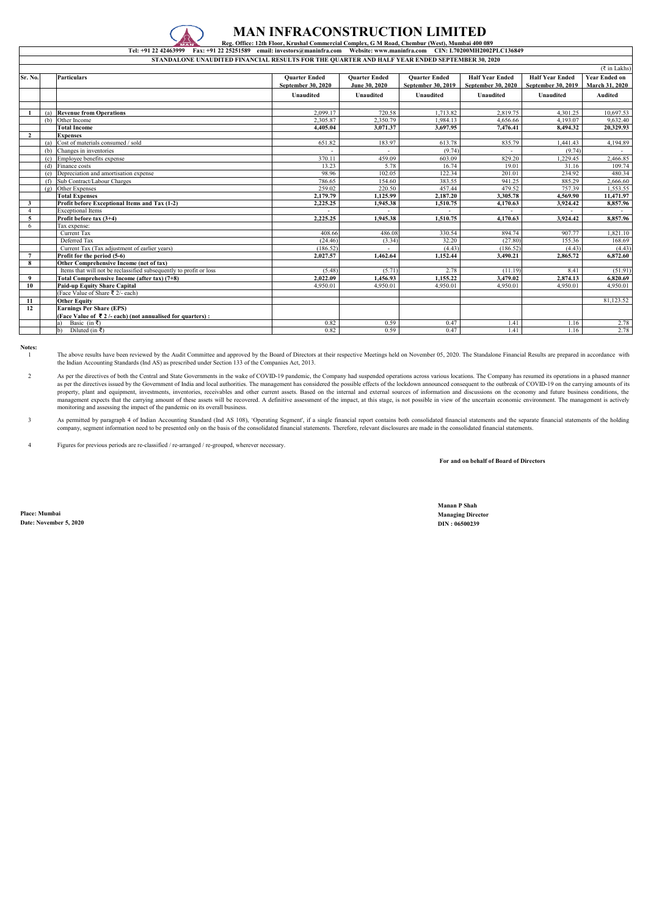| $(\bar{z}$ in Lakhs) |     |                                                                      |                           |                      |                      |                           |                        |                       |  |  |
|----------------------|-----|----------------------------------------------------------------------|---------------------------|----------------------|----------------------|---------------------------|------------------------|-----------------------|--|--|
| Sr. No.              |     | <b>Particulars</b>                                                   | <b>Ouarter Ended</b>      | <b>Ouarter Ended</b> | <b>Ouarter Ended</b> | <b>Half Year Ended</b>    | <b>Half Year Ended</b> | <b>Year Ended on</b>  |  |  |
|                      |     |                                                                      | <b>September 30, 2020</b> | June 30, 2020        | September 30, 2019   | <b>September 30, 2020</b> | September 30, 2019     | <b>March 31, 2020</b> |  |  |
|                      |     |                                                                      | <b>Unaudited</b>          | <b>Unaudited</b>     | <b>Unaudited</b>     | <b>Unaudited</b>          | <b>Unaudited</b>       | <b>Audited</b>        |  |  |
|                      |     |                                                                      |                           |                      |                      |                           |                        |                       |  |  |
|                      | (a) | <b>Revenue from Operations</b>                                       | 2.099.17                  | 720.58               | 1.713.82             | 2,819.75                  | 4.301.25               | 10,697.53             |  |  |
|                      | (b) | Other Income                                                         | 2,305.87                  | 2,350.79             | 1.984.13             | 4.656.66                  | 4.193.07               | 9,632.40              |  |  |
|                      |     | <b>Total Income</b>                                                  | 4,405.04                  | 3,071.37             | 3,697.95             | 7,476.41                  | 8,494.32               | 20,329.93             |  |  |
| $\overline{2}$       |     | <b>Expenses</b>                                                      |                           |                      |                      |                           |                        |                       |  |  |
|                      | (a) | Cost of materials consumed / sold                                    | 651.82                    | 183.97               | 613.78               | 835.79                    | 1.441.43               | 4,194.89              |  |  |
|                      | (b) | Changes in inventories                                               |                           |                      | (9.74)               |                           | (9.74)                 |                       |  |  |
|                      | (c) | Employee benefits expense                                            | 370.11                    | 459.09               | 603.09               | 829.20                    | ,229.45                | 2,466.85              |  |  |
|                      | (d) | Finance costs                                                        | 13.23                     | 5.78                 | 16.74                | 19.01                     | 31.16                  | 109.74                |  |  |
|                      | (e) | Depreciation and amortisation expense                                | 98.96                     | 102.05               | 122.34               | 201.01                    | 234.92                 | 480.34                |  |  |
|                      | (f) | Sub Contract/Labour Charges                                          | 786.65                    | 154.60               | 383.55               | 941.25                    | 885.29                 | 2,666.60              |  |  |
|                      | (g) | Other Expenses                                                       | 259.02                    | 220.50               | 457.44               | 479.52                    | 757.39                 | 1,553.55              |  |  |
|                      |     | <b>Total Expenses</b>                                                | 2,179.79                  | 1.125.99             | 2,187.20             | 3.305.78                  | 4,569.90               | 11,471.97             |  |  |
| $\mathbf{3}$         |     | Profit before Exceptional Items and Tax (1-2)                        | 2,225.25                  | 1,945.38             | 1,510.75             | 4,170.63                  | 3,924.42               | 8,857.96              |  |  |
| $\overline{4}$       |     | <b>Exceptional Items</b>                                             |                           |                      |                      |                           |                        | $\sim$                |  |  |
| 5                    |     | Profit before tax $(3+4)$                                            | 2,225.25                  | 1.945.38             | 1.510.75             | 4,170.63                  | 3,924.42               | 8,857.96              |  |  |
| 6                    |     | Tax expense:                                                         |                           |                      |                      |                           |                        |                       |  |  |
|                      |     | <b>Current Tax</b>                                                   | 408.66                    | 486.08               | 330.54               | 894.74                    | 907.77                 | 1,821.10              |  |  |
|                      |     | Deferred Tax                                                         | (24.46)                   | (3.34)               | 32.20                | (27.80)                   | 155.36                 | 168.69                |  |  |
|                      |     | Current Tax (Tax adjustment of earlier years)                        | (186.52)                  |                      | (4.43)               | (186.52)                  | (4.43)                 | (4.43)                |  |  |
| $\overline{7}$       |     | Profit for the period (5-6)                                          | 2,027.57                  | 1,462.64             | 1,152.44             | 3,490.21                  | 2,865.72               | 6,872.60              |  |  |
| 8                    |     | Other Comprehensive Income (net of tax)                              |                           |                      |                      |                           |                        |                       |  |  |
|                      |     | Items that will not be reclassified subsequently to profit or loss   | (5.48)                    | (5.71)               | 2.78                 | (11.19)                   | 8.41                   | (51.91)               |  |  |
| 9                    |     | Total Comprehensive Income (after tax) (7+8)                         | 2,022.09                  | 1,456.93             | 1,155.22             | 3,479.02                  | 2,874.13               | 6,820.69              |  |  |
| 10                   |     | <b>Paid-up Equity Share Capital</b>                                  | 4,950.01                  | 4,950.01             | 4,950.01             | 4,950.01                  | 4,950.01               | 4,950.01              |  |  |
|                      |     | (Face Value of Share ₹ 2/- each)                                     |                           |                      |                      |                           |                        |                       |  |  |
| 11                   |     | <b>Other Equity</b>                                                  |                           |                      |                      |                           |                        | 81,123.52             |  |  |
| 12                   |     | <b>Earnings Per Share (EPS)</b>                                      |                           |                      |                      |                           |                        |                       |  |  |
|                      |     | (Face Value of $\bar{\xi}$ 2 /- each) (not annualised for quarters): |                           |                      |                      |                           |                        |                       |  |  |
|                      |     | Basic (in ₹)                                                         | 0.82                      | 0.59                 | 0.47                 | 1.41                      | 1.16                   | 2.78                  |  |  |
|                      |     | Diluted (in ₹)<br>b)                                                 | 0.82                      | 0.59                 | 0.47                 | 1.41                      | 1.16                   | 2.78                  |  |  |

The above results have been reviewed by the Audit Committee and approved by the Board of Directors at their respective Meetings held on November 05, 2020. The Standalone Financial Results are prepared in accordance with the Indian Accounting Standards (Ind AS) as prescribed under Section 133 of the Companies Act, 2013.

**Notes:** 1

**For and on behalf of Board of Directors**

**Manan P Shah**

**Place: Mumbai Managing Director Date: November 5, 2020 DIN : 06500239**

4 Figures for previous periods are re-classified / re-arranged / re-grouped, wherever necessary.



### **MAN INFRACONSTRUCTION LIMITED**

 **Reg. Office: 12th Floor, Krushal Commercial Complex, G M Road, Chembur (West), Mumbai 400 089** 

**Tel: +91 22 42463999 Fax: +91 22 25251589 email: investors@maninfra.com Website: www.maninfra.com CIN: L70200MH2002PLC136849 STANDALONE UNAUDITED FINANCIAL RESULTS FOR THE QUARTER AND HALF YEAR ENDED SEPTEMBER 30, 2020**

2 As per the directives of both the Central and State Governments in the wake of COVID-19 pandemic, the Company had suspended operations across various locations. The Company has resumed its operations in a phased manner as per the directives issued by the Government of India and local authorities. The management has considered the possible effects of the lockdown announced consequent to the outbreak of COVID-19 on the carrying amounts of property, plant and equipment, investments, inventories, receivables and other current assets. Based on the internal and external sources of information and discussions on the economy and future business conditions, the management expects that the carrying amount of these assets will be recovered. A definitive assessment of the impact, at this stage, is not possible in view of the uncertain economic environment. The management is actively monitoring and assessing the impact of the pandemic on its overall business.

3 As permitted by paragraph 4 of Indian Accounting Standard (Ind AS 108), 'Operating Segment', if a single financial report contains both consolidated financial statements and the separate financial statements of the holding company, segment information need to be presented only on the basis of the consolidated financial statements. Therefore, relevant disclosures are made in the consolidated financial statements.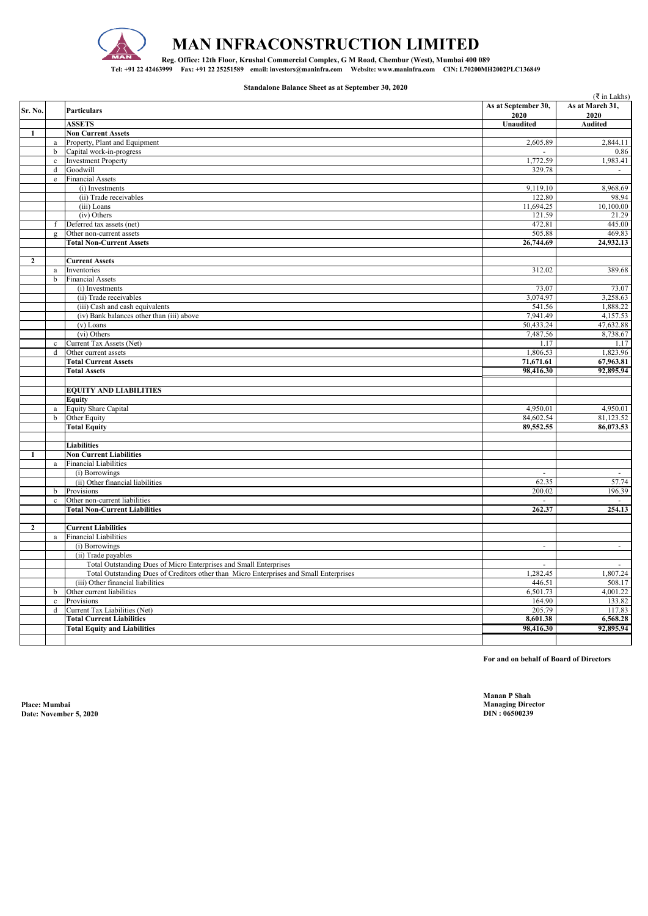| Sr. No.        |                | <b>Particulars</b>                                                                     | As at September 30,<br>2020 | $(\xi$ in Lakhs)<br>As at March 31,<br>2020 |
|----------------|----------------|----------------------------------------------------------------------------------------|-----------------------------|---------------------------------------------|
|                |                | <b>ASSETS</b>                                                                          | <b>Unaudited</b>            | <b>Audited</b>                              |
| 1              |                | <b>Non Current Assets</b>                                                              |                             |                                             |
|                | a              | Property, Plant and Equipment                                                          | 2,605.89                    | 2,844.11                                    |
|                | $\mathbf b$    | Capital work-in-progress                                                               |                             | 0.86                                        |
|                | $\mathbf c$    | <b>Investment Property</b>                                                             | 1,772.59                    | 1,983.41                                    |
|                | d              | Goodwill                                                                               | 329.78                      | $\sim$                                      |
|                | e              | <b>Financial Assets</b>                                                                |                             |                                             |
|                |                | (i) Investments                                                                        | 9,119.10                    | 8,968.69                                    |
|                |                | (ii) Trade receivables                                                                 | 122.80                      | 98.94                                       |
|                |                | (iii) Loans                                                                            | 11,694.25                   | $\overline{10}, 100.00$                     |
|                |                | (iv) Others                                                                            | 121.59                      | 21.29                                       |
|                | f              | Deferred tax assets (net)                                                              | 472.81                      | 445.00                                      |
|                | $\mathfrak{Q}$ | Other non-current assets                                                               | 505.88                      | 469.83                                      |
|                |                | <b>Total Non-Current Assets</b>                                                        | 26,744.69                   | 24,932.13                                   |
|                |                |                                                                                        |                             |                                             |
| $\mathbf{2}$   |                | <b>Current Assets</b>                                                                  |                             |                                             |
|                | a              | Inventories                                                                            | 312.02                      | 389.68                                      |
|                | b              | <b>Financial Assets</b>                                                                |                             |                                             |
|                |                | (i) Investments                                                                        | 73.07                       | 73.07                                       |
|                |                | (ii) Trade receivables                                                                 | 3,074.97                    | 3,258.63                                    |
|                |                | (iii) Cash and cash equivalents                                                        | 541.56                      | 1,888.22                                    |
|                |                | (iv) Bank balances other than (iii) above                                              | 7,941.49                    | 4,157.53                                    |
|                |                | (v) Loans                                                                              | 50,433.24                   | 47,632.88                                   |
|                |                | $(vi)$ Others                                                                          | 7,487.56                    | 8,738.67                                    |
|                | $\mathbf{c}$   | Current Tax Assets (Net)                                                               | 1.17                        | 1.17                                        |
|                | d              | Other current assets                                                                   | 1,806.53                    | 1,823.96                                    |
|                |                | <b>Total Current Assets</b>                                                            | 71,671.61                   | 67,963.81                                   |
|                |                | <b>Total Assets</b>                                                                    | 98,416.30                   | 92,895.94                                   |
|                |                |                                                                                        |                             |                                             |
|                |                | <b>EQUITY AND LIABILITIES</b>                                                          |                             |                                             |
|                |                | <b>Equity</b>                                                                          |                             |                                             |
|                | a              | <b>Equity Share Capital</b>                                                            | 4,950.01                    | 4,950.01                                    |
|                | b              | Other Equity                                                                           | 84,602.54                   | 81,123.52                                   |
|                |                | <b>Total Equity</b>                                                                    | 89,552.55                   | 86,073.53                                   |
|                |                |                                                                                        |                             |                                             |
|                |                | <b>Liabilities</b>                                                                     |                             |                                             |
| 1              |                | <b>Non Current Liabilities</b>                                                         |                             |                                             |
|                | a              | <b>Financial Liabilities</b>                                                           |                             |                                             |
|                |                | (i) Borrowings                                                                         | $\sim$                      | $\sim$                                      |
|                |                | (ii) Other financial liabilities                                                       | 62.35                       | 57.74                                       |
|                | b              | Provisions                                                                             | 200.02                      | 196.39                                      |
|                | $\mathbf c$    | Other non-current liabilities                                                          |                             |                                             |
|                |                | <b>Total Non-Current Liabilities</b>                                                   | 262.37                      | 254.13                                      |
|                |                |                                                                                        |                             |                                             |
| $\overline{2}$ |                | <b>Current Liabilities</b>                                                             |                             |                                             |
|                | a              | <b>Financial Liabilities</b>                                                           |                             |                                             |
|                |                | (i) Borrowings                                                                         | $\sim$                      | $\sim$                                      |
|                |                | (ii) Trade payables                                                                    |                             |                                             |
|                |                | Total Outstanding Dues of Micro Enterprises and Small Enterprises                      | $\sim$                      | $\sim$                                      |
|                |                | Total Outstanding Dues of Creditors other than Micro Enterprises and Small Enterprises | 1,282.45                    | 1,807.24                                    |
|                |                | (iii) Other financial liabilities                                                      | 446.51                      | 508.17                                      |
|                | b              | Other current liabilities                                                              | 6,501.73                    | 4,001.22                                    |
|                | $\mathbf{c}$   | Provisions                                                                             | 164.90                      | 133.82                                      |
|                | d              | Current Tax Liabilities (Net)                                                          | 205.79                      | 117.83                                      |
|                |                | <b>Total Current Liabilities</b>                                                       | 8,601.38                    | 6,568.28                                    |
|                |                | <b>Total Equity and Liabilities</b>                                                    | 98,416.30                   | 92,895.94                                   |
|                |                |                                                                                        |                             |                                             |
|                |                |                                                                                        |                             |                                             |

**Place: Mumbai Managing Director Date: November 5, 2020** 

**Manan P Shah**



# **MAN INFRACONSTRUCTION LIMITED**

**Reg. Office: 12th Floor, Krushal Commercial Complex, G M Road, Chembur (West), Mumbai 400 089 Tel: +91 22 42463999 Fax: +91 22 25251589 email: investors@maninfra.com Website: www.maninfra.com CIN: L70200MH2002PLC136849**

#### **Standalone Balance Sheet as at September 30, 2020**